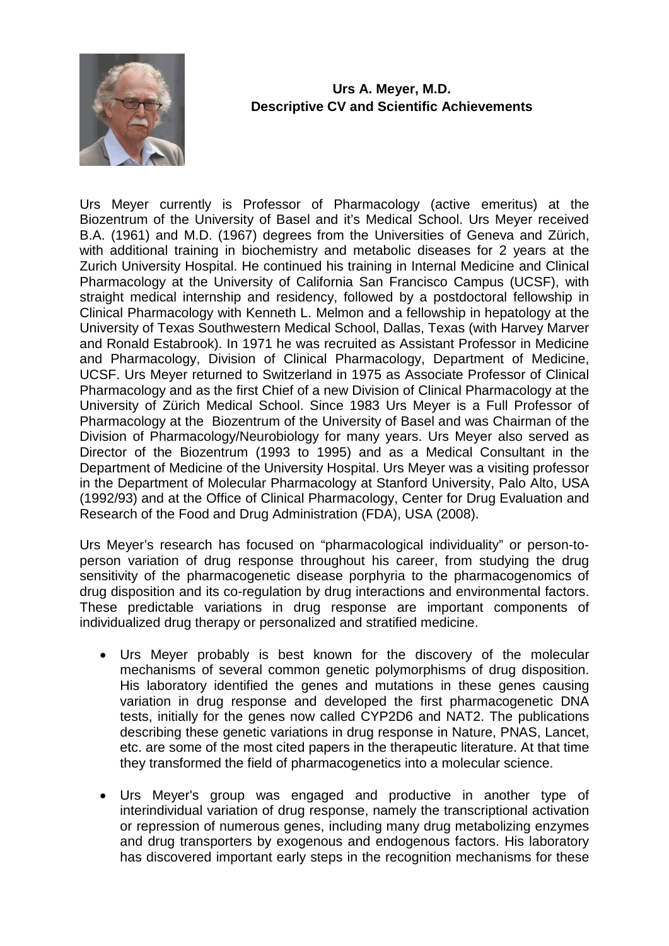

## **Urs A. Meyer, M.D. Descriptive CV and Scientific Achievements**

Urs Meyer currently is Professor of Pharmacology (active emeritus) at the Biozentrum of the University of Basel and it's Medical School. Urs Meyer received B.A. (1961) and M.D. (1967) degrees from the Universities of Geneva and Zürich, with additional training in biochemistry and metabolic diseases for 2 years at the Zurich University Hospital. He continued his training in Internal Medicine and Clinical Pharmacology at the University of California San Francisco Campus (UCSF), with straight medical internship and residency, followed by a postdoctoral fellowship in Clinical Pharmacology with Kenneth L. Melmon and a fellowship in hepatology at the University of Texas Southwestern Medical School, Dallas, Texas (with Harvey Marver and Ronald Estabrook). In 1971 he was recruited as Assistant Professor in Medicine and Pharmacology, Division of Clinical Pharmacology, Department of Medicine, UCSF. Urs Meyer returned to Switzerland in 1975 as Associate Professor of Clinical Pharmacology and as the first Chief of a new Division of Clinical Pharmacology at the University of Zürich Medical School. Since 1983 Urs Meyer is a Full Professor of Pharmacology at the Biozentrum of the University of Basel and was Chairman of the Division of Pharmacology/Neurobiology for many years. Urs Meyer also served as Director of the Biozentrum (1993 to 1995) and as a Medical Consultant in the Department of Medicine of the University Hospital. Urs Meyer was a visiting professor in the Department of Molecular Pharmacology at Stanford University, Palo Alto, USA (1992/93) and at the Office of Clinical Pharmacology, Center for Drug Evaluation and Research of the Food and Drug Administration (FDA), USA (2008).

Urs Meyer's research has focused on "pharmacological individuality" or person-toperson variation of drug response throughout his career, from studying the drug sensitivity of the pharmacogenetic disease porphyria to the pharmacogenomics of drug disposition and its co-regulation by drug interactions and environmental factors. These predictable variations in drug response are important components of individualized drug therapy or personalized and stratified medicine.

- Urs Meyer probably is best known for the discovery of the molecular mechanisms of several common genetic polymorphisms of drug disposition. His laboratory identified the genes and mutations in these genes causing variation in drug response and developed the first pharmacogenetic DNA tests, initially for the genes now called CYP2D6 and NAT2. The publications describing these genetic variations in drug response in Nature, PNAS, Lancet, etc. are some of the most cited papers in the therapeutic literature. At that time they transformed the field of pharmacogenetics into a molecular science.
- Urs Meyer's group was engaged and productive in another type of interindividual variation of drug response, namely the transcriptional activation or repression of numerous genes, including many drug metabolizing enzymes and drug transporters by exogenous and endogenous factors. His laboratory has discovered important early steps in the recognition mechanisms for these